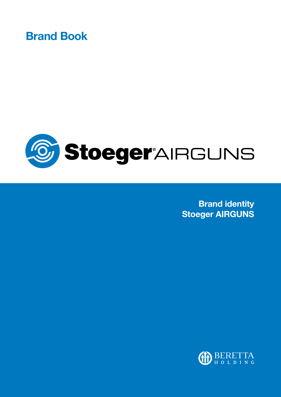Brand Book



Brand identity Stoeger AIRGUNS

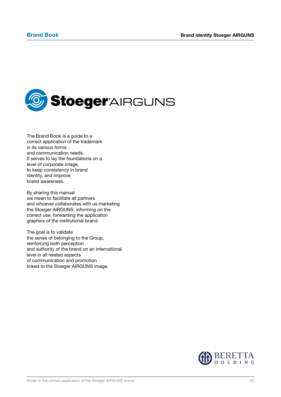

The Brand Book is a guide to a correct application of the trademark in its various forms and communication needs. It serves to lay the foundations on a level of corporate image, to keep consistency in brand identity, and improve brand awareness.

By sharing this manual we mean to facilitate all partners and whoever collaborates with us marketing the Stoeger AIRGUNS, informing on the correct use, forwarding the application graphics of the institutional brand.

The goal is to validate the sense of belonging to the Group, reinforcing both perception and authority of the brand on an international level in all related aspects of communication and promotion linked to the Stoeger AIRGUNS image.

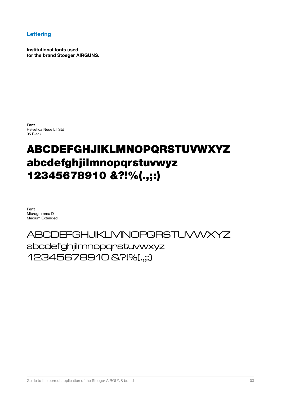Institutional fonts used for the brand Stoeger AIRGUNS.

Font Helvetica Neue LT Std 95 Black

# ABCDEFGHJIKLMNOPQRSTUVWXYZ abcdefghjilmnopqrstuvwyz 12345678910 &?!%(.,;:)

Font Microgramma D Medium Extended

# ABCDEFGHJIKLMNOPQRSTUVWXYZ abcdefghjilmnopqrstuvwxyz 12345678910 &?!%(.,;:)

Guide to the correct application of the Stoeger AIRGUNS brand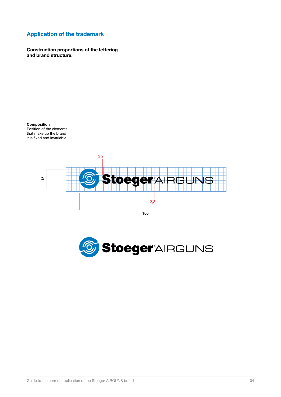Construction proportions of the lettering and brand structure.

Composition Position of the elements that make up the brand it is fixed and invariable.



100

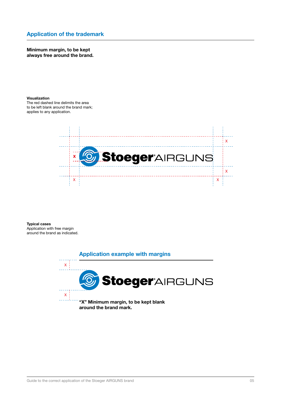Minimum margin, to be kept always free around the brand.

### Visualization

The red dashed line delimits the area to be left blank around the brand mark; applies to any application.



Typical cases Application with free margin around the brand as indicated.

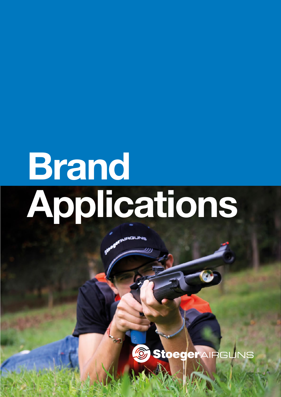# Brand Applications

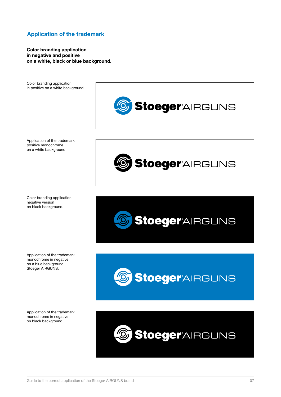Color branding application in negative and positive on a white, black or blue background.

Color branding application in positive on a white background.



Application of the trademark positive monochrome on a white background.

Color branding application negative version on black background.

Application of the trademark monochrome in negative on a blue background Stoeger AIRGUNS.

Application of the trademark monochrome in negative on black background.







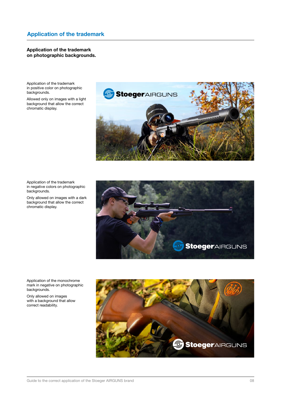### Application of the trademark on photographic backgrounds.

Application of the trademark in positive color on photographic backgrounds.

Allowed only on images with a light background that allow the correct chromatic display.



Application of the trademark in negative colors on photographic backgrounds.

Only allowed on images with a dark background that allow the correct chromatic display.



Application of the monochrome mark in negative on photographic backgrounds.

Only allowed on images with a background that allow correct readability.

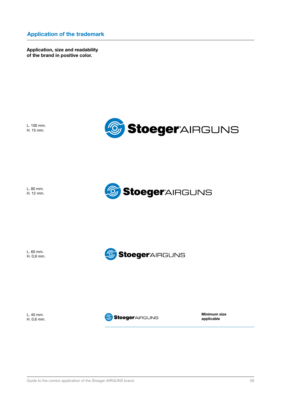Application, size and readability of the brand in positive color.

L. 100 mm. H. 15 mm.



L. 80 mm. H. 12 mm.



| L. 60 mm.  |  |
|------------|--|
| H. 0,9 mm. |  |



L. 40 mm. H. 0,6 mm.

StoegerAIRGUNS

Minimum size applicable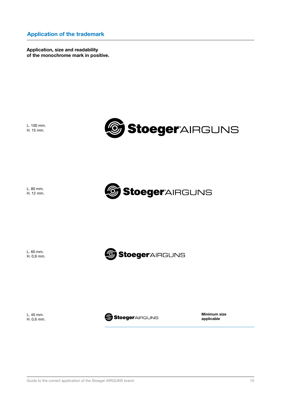Application, size and readability of the monochrome mark in positive.

L. 100 mm. H. 15 mm.



L. 80 mm. H. 12 mm.



L. 60 mm. H. 0,9 mm.



L. 40 mm. H. 0,6 mm.

StoegerAIRGUNS

Minimum size applicable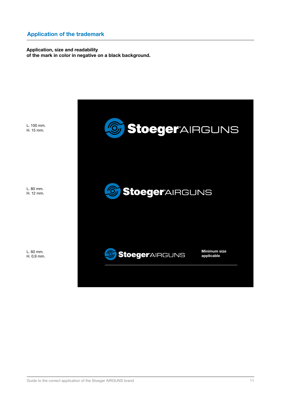Application, size and readability of the mark in color in negative on a black background.

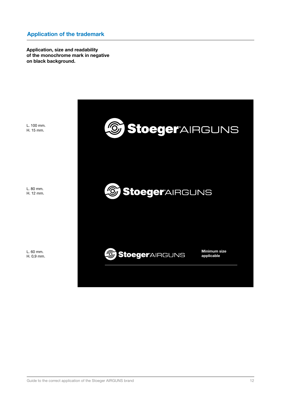Application, size and readability of the monochrome mark in negative on black background.

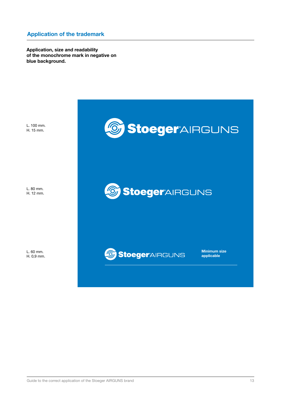Application, size and readability of the monochrome mark in negative on blue background.

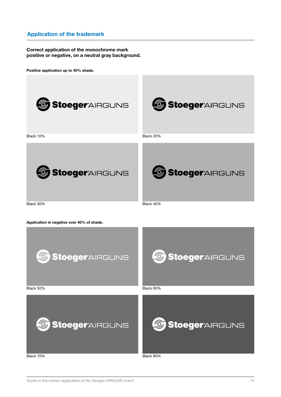### Correct application of the monochrome mark positive or negative, on a neutral gray background.

Positive application up to 40% shade.



Black 70% Black 80%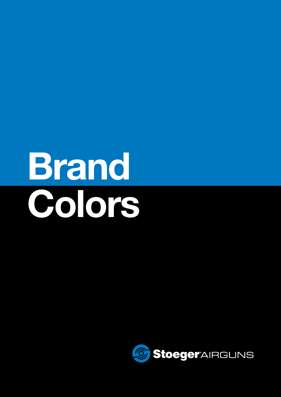# Brand Colors

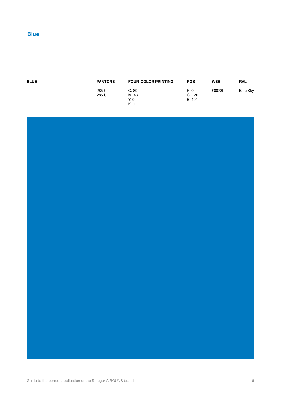| <b>BLUE</b> | <b>PANTONE</b> | <b>FOUR-COLOR PRINTING</b> | <b>RGB</b> | <b>WEB</b> | <b>RAL</b>      |
|-------------|----------------|----------------------------|------------|------------|-----------------|
|             | 285 C          | C.89                       | R. 0       | #0078bf    | <b>Blue Sky</b> |
|             | 285 U          | M. 43                      | G. 120     |            |                 |
|             |                | Y. 0                       | B. 191     |            |                 |
|             |                | K. 0                       |            |            |                 |

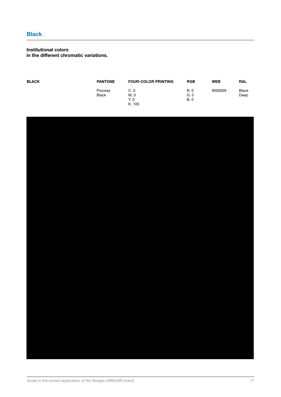### Institutional colors in the different chromatic variations.

| <b>BLACK</b> | <b>PANTONE</b> | <b>FOUR-COLOR PRINTING</b> | <b>RGB</b> | <b>WEB</b> | <b>RAL</b>   |
|--------------|----------------|----------------------------|------------|------------|--------------|
|              | Process        | C.0                        | R. 0       | #000000    | <b>Black</b> |
|              | <b>Black</b>   | M. 0                       | G.0        |            | Deep         |
|              |                | Y. 0                       | <b>B.0</b> |            |              |
|              |                | K. 100                     |            |            |              |

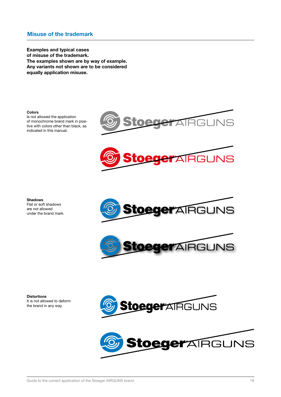# Misuse of the trademark

Examples and typical cases of misuse of the trademark. The examples shown are by way of example. Any variants not shown are to be considered equally application misuse.

### Colors

Is not allowed the application of monochrome brand mark in positive with colors other than black, as indicated in this manual.









**Distortions** It is not allowed to deform the brand in any way.



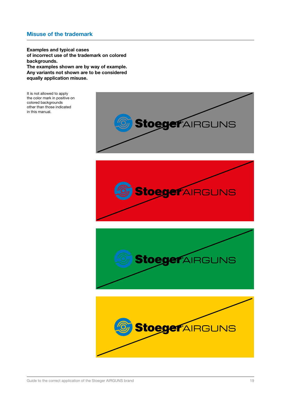# Misuse of the trademark

Examples and typical cases of incorrect use of the trademark on colored backgrounds. The examples shown are by way of example. Any variants not shown are to be considered equally application misuse.

It is not allowed to apply the color mark in positive on colored backgrounds other than those indicated in this manual.

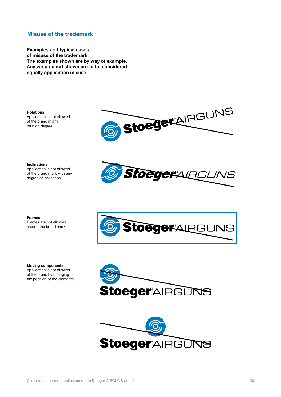# Misuse of the trademark

Examples and typical cases of misuse of the trademark. The examples shown are by way of example. Any variants not shown are to be considered equally application misuse.

**Rotations** Application is not allowed of the brand in any rotation degree.



Inclinations Application is not allowed of the brand mark with any degree of inclination.



Frames Frames are not allowed around the brand mark.

Moving components Application is not allowed of the brand by changing the position of the elements.





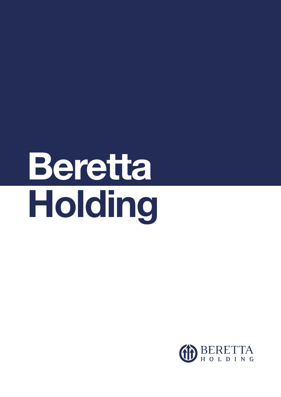# Beretta Holding

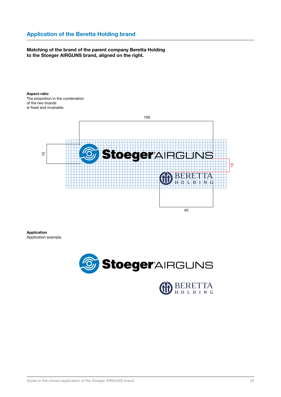# Application of the Beretta Holding brand

### Matching of the brand of the parent company Beretta Holding to the Stoeger AIRGUNS brand, aligned on the right.

Aspect ratio The proportion in the combination of the two brands is fixed and invariable.



Application



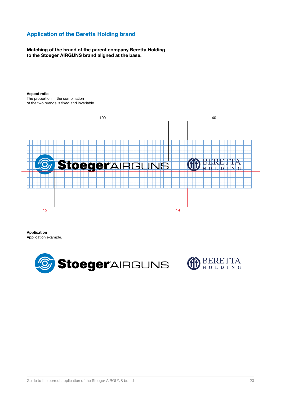# Application of the Beretta Holding brand

### Matching of the brand of the parent company Beretta Holding to the Stoeger AIRGUNS brand aligned at the base.

### Aspect ratio

The proportion in the combination of the two brands is fixed and invariable.



Application Application example.

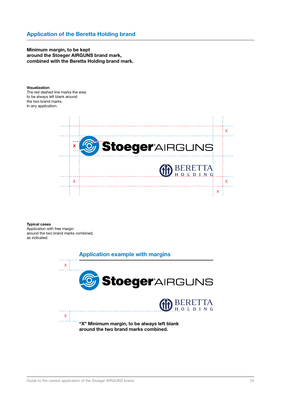Minimum margin, to be kept around the Stoeger AIRGUNS brand mark, combined with the Beretta Holding brand mark.

### Visualization

The red dashed line marks the area to be always left blank around the two brand marks In any application.



### Typical cases

Application with free margin around the two brand marks combined, as indicated.

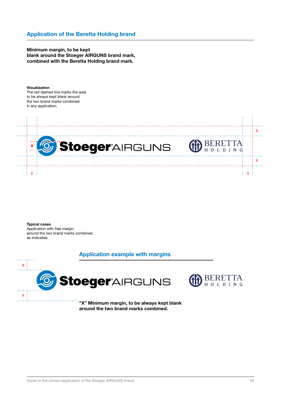Minimum margin, to be kept blank around the Stoeger AIRGUNS brand mark, combined with the Beretta Holding brand mark.

### Visualization

The red dashed line marks the area to be always kept blank around the two brand marks combined in any application.



Typical cases Application with free margin around the two brand marks combined, as indicated.

## Application example with margins



around the two brand marks combined.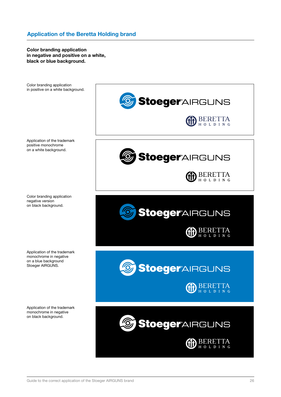Color branding application in negative and positive on a white, black or blue background.

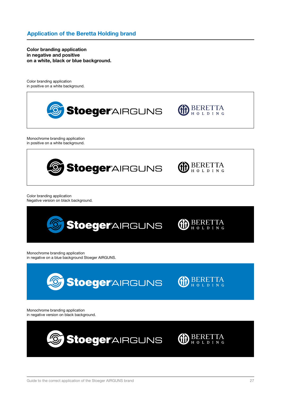Color branding application in negative and positive on a white, black or blue background.

Color branding application in positive on a white background.



Monochrome branding application in positive on a white background.



Color branding application Negative version on black background.



Monochrome branding application in negative on a blue background Stoeger AIRGUNS.



Monochrome branding application in negative version on black background.

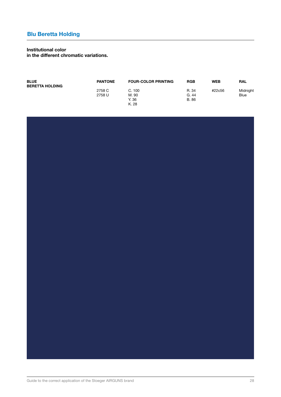# Institutional color

in the different chromatic variations.

| <b>BLUE</b><br><b>BERETTA HOLDING</b> | <b>PANTONE</b> | <b>FOUR-COLOR PRINTING</b> | <b>RGB</b>           | <b>WEB</b> | <b>RAL</b>  |
|---------------------------------------|----------------|----------------------------|----------------------|------------|-------------|
|                                       | 2758 C         | C. 100                     | R. 34                | #22c56     | Midnight    |
|                                       | 2758 U         | M. 90<br>Y. 36             | G.44<br><b>B.</b> 86 |            | <b>Blue</b> |
|                                       |                | K. 28                      |                      |            |             |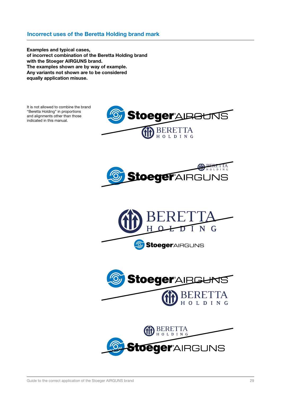# Incorrect uses of the Beretta Holding brand mark

Examples and typical cases, of incorrect combination of the Beretta Holding brand with the Stoeger AIRGUNS brand. The examples shown are by way of example. Any variants not shown are to be considered equally application misuse.

It is not allowed to combine the brand "Beretta Holding" in proportions and alignments other than those indicated in this manual.